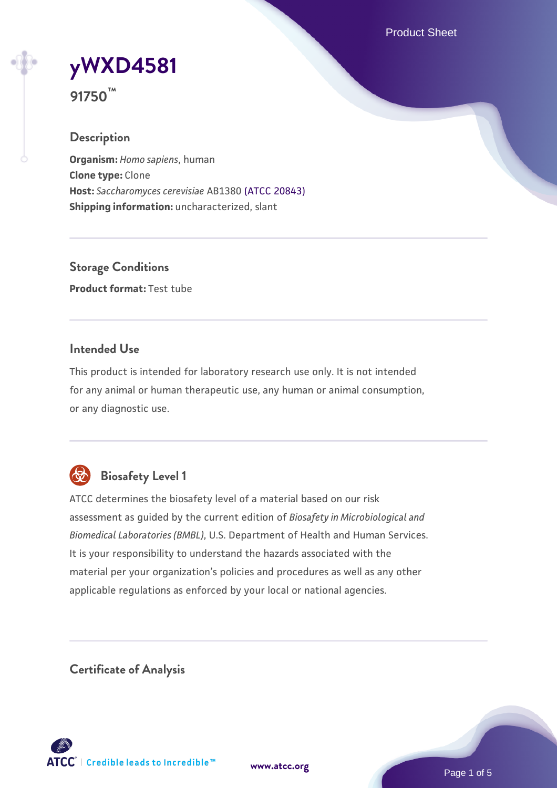Product Sheet



**91750™**

# **Description**

**Organism:** *Homo sapiens*, human **Clone type:** Clone **Host:** *Saccharomyces cerevisiae* AB1380 [\(ATCC 20843\)](https://www.atcc.org/products/20843) **Shipping information:** uncharacterized, slant

**Storage Conditions Product format:** Test tube

## **Intended Use**

This product is intended for laboratory research use only. It is not intended for any animal or human therapeutic use, any human or animal consumption, or any diagnostic use.



# **Biosafety Level 1**

ATCC determines the biosafety level of a material based on our risk assessment as guided by the current edition of *Biosafety in Microbiological and Biomedical Laboratories (BMBL)*, U.S. Department of Health and Human Services. It is your responsibility to understand the hazards associated with the material per your organization's policies and procedures as well as any other applicable regulations as enforced by your local or national agencies.

**Certificate of Analysis**

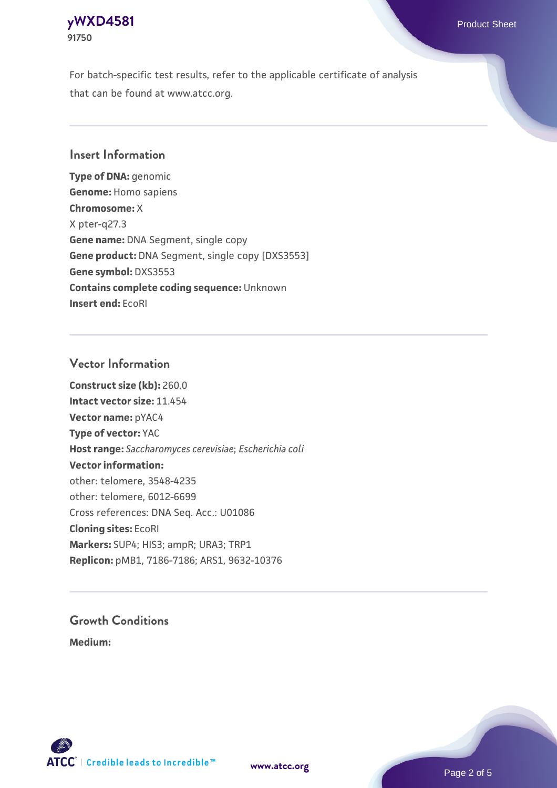## **[yWXD4581](https://www.atcc.org/products/91750)** Product Sheet **91750**

For batch-specific test results, refer to the applicable certificate of analysis that can be found at www.atcc.org.

## **Insert Information**

**Type of DNA:** genomic **Genome:** Homo sapiens **Chromosome:** X X pter-q27.3 **Gene name:** DNA Segment, single copy **Gene product:** DNA Segment, single copy [DXS3553] **Gene symbol:** DXS3553 **Contains complete coding sequence:** Unknown **Insert end:** EcoRI

## **Vector Information**

**Construct size (kb):** 260.0 **Intact vector size:** 11.454 **Vector name:** pYAC4 **Type of vector:** YAC **Host range:** *Saccharomyces cerevisiae*; *Escherichia coli* **Vector information:** other: telomere, 3548-4235 other: telomere, 6012-6699 Cross references: DNA Seq. Acc.: U01086 **Cloning sites:** EcoRI **Markers:** SUP4; HIS3; ampR; URA3; TRP1 **Replicon:** pMB1, 7186-7186; ARS1, 9632-10376

# **Growth Conditions**

**Medium:** 



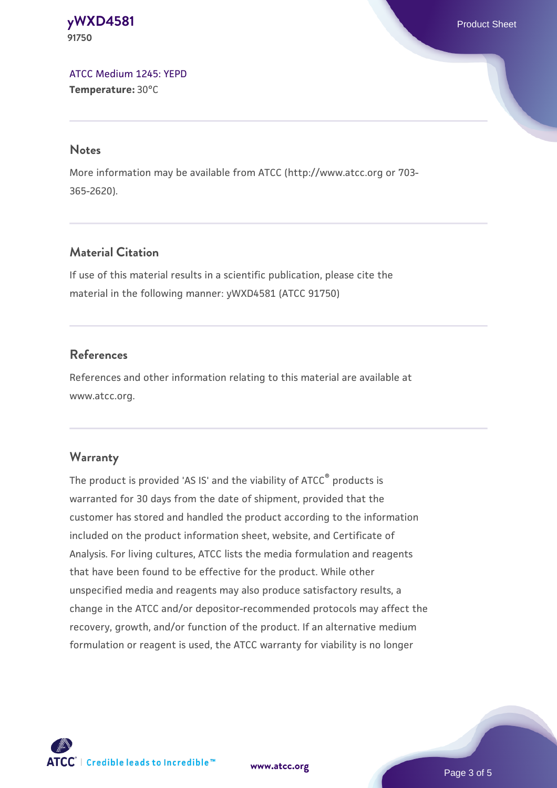#### **[yWXD4581](https://www.atcc.org/products/91750)** Product Sheet **91750**

[ATCC Medium 1245: YEPD](https://www.atcc.org/-/media/product-assets/documents/microbial-media-formulations/1/2/4/5/atcc-medium-1245.pdf?rev=705ca55d1b6f490a808a965d5c072196) **Temperature:** 30°C

#### **Notes**

More information may be available from ATCC (http://www.atcc.org or 703- 365-2620).

# **Material Citation**

If use of this material results in a scientific publication, please cite the material in the following manner: yWXD4581 (ATCC 91750)

## **References**

References and other information relating to this material are available at www.atcc.org.

## **Warranty**

The product is provided 'AS IS' and the viability of ATCC® products is warranted for 30 days from the date of shipment, provided that the customer has stored and handled the product according to the information included on the product information sheet, website, and Certificate of Analysis. For living cultures, ATCC lists the media formulation and reagents that have been found to be effective for the product. While other unspecified media and reagents may also produce satisfactory results, a change in the ATCC and/or depositor-recommended protocols may affect the recovery, growth, and/or function of the product. If an alternative medium formulation or reagent is used, the ATCC warranty for viability is no longer



**[www.atcc.org](http://www.atcc.org)**

Page 3 of 5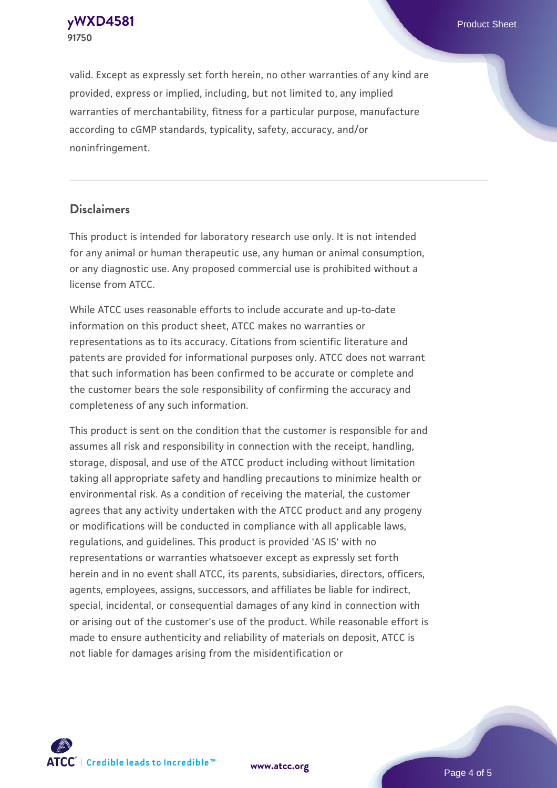**[yWXD4581](https://www.atcc.org/products/91750)** Product Sheet **91750**

valid. Except as expressly set forth herein, no other warranties of any kind are provided, express or implied, including, but not limited to, any implied warranties of merchantability, fitness for a particular purpose, manufacture according to cGMP standards, typicality, safety, accuracy, and/or noninfringement.

#### **Disclaimers**

This product is intended for laboratory research use only. It is not intended for any animal or human therapeutic use, any human or animal consumption, or any diagnostic use. Any proposed commercial use is prohibited without a license from ATCC.

While ATCC uses reasonable efforts to include accurate and up-to-date information on this product sheet, ATCC makes no warranties or representations as to its accuracy. Citations from scientific literature and patents are provided for informational purposes only. ATCC does not warrant that such information has been confirmed to be accurate or complete and the customer bears the sole responsibility of confirming the accuracy and completeness of any such information.

This product is sent on the condition that the customer is responsible for and assumes all risk and responsibility in connection with the receipt, handling, storage, disposal, and use of the ATCC product including without limitation taking all appropriate safety and handling precautions to minimize health or environmental risk. As a condition of receiving the material, the customer agrees that any activity undertaken with the ATCC product and any progeny or modifications will be conducted in compliance with all applicable laws, regulations, and guidelines. This product is provided 'AS IS' with no representations or warranties whatsoever except as expressly set forth herein and in no event shall ATCC, its parents, subsidiaries, directors, officers, agents, employees, assigns, successors, and affiliates be liable for indirect, special, incidental, or consequential damages of any kind in connection with or arising out of the customer's use of the product. While reasonable effort is made to ensure authenticity and reliability of materials on deposit, ATCC is not liable for damages arising from the misidentification or



**[www.atcc.org](http://www.atcc.org)**

Page 4 of 5